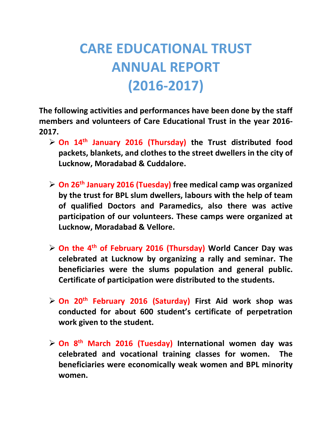## **CARE EDUCATIONAL TRUST ANNUAL REPORT (2016-2017)**

**The following activities and performances have been done by the staff members and volunteers of Care Educational Trust in the year 2016- 2017.**

- **On 14th January 2016 (Thursday) the Trust distributed food packets, blankets, and clothes to the street dwellers in the city of Lucknow, Moradabad & Cuddalore.**
- **On 26th January 2016 (Tuesday) free medical camp was organized by the trust for BPL slum dwellers, labours with the help of team of qualified Doctors and Paramedics, also there was active participation of our volunteers. These camps were organized at Lucknow, Moradabad & Vellore.**
- **On the 4th of February 2016 (Thursday) World Cancer Day was celebrated at Lucknow by organizing a rally and seminar. The beneficiaries were the slums population and general public. Certificate of participation were distributed to the students.**
- **On 20th February 2016 (Saturday) First Aid work shop was conducted for about 600 student's certificate of perpetration work given to the student.**
- **On 8th March 2016 (Tuesday) International women day was celebrated and vocational training classes for women. The beneficiaries were economically weak women and BPL minority women.**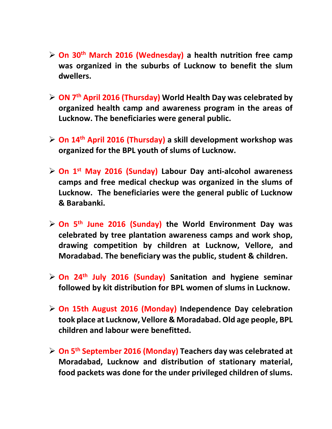- **On 30th March 2016 (Wednesday) a health nutrition free camp was organized in the suburbs of Lucknow to benefit the slum dwellers.**
- **ON 7th April 2016 (Thursday) World Health Day was celebrated by organized health camp and awareness program in the areas of Lucknow. The beneficiaries were general public.**
- **On 14th April 2016 (Thursday) a skill development workshop was organized for the BPL youth of slums of Lucknow.**
- **On 1st May 2016 (Sunday) Labour Day anti-alcohol awareness camps and free medical checkup was organized in the slums of Lucknow. The beneficiaries were the general public of Lucknow & Barabanki.**
- **On 5th June 2016 (Sunday) the World Environment Day was celebrated by tree plantation awareness camps and work shop, drawing competition by children at Lucknow, Vellore, and Moradabad. The beneficiary was the public, student & children.**
- **On 24th July 2016 (Sunday) Sanitation and hygiene seminar followed by kit distribution for BPL women of slums in Lucknow.**
- **On 15th August 2016 (Monday) Independence Day celebration took place at Lucknow, Vellore & Moradabad. Old age people, BPL children and labour were benefitted.**
- **On 5th September 2016 (Monday) Teachers day was celebrated at Moradabad, Lucknow and distribution of stationary material, food packets was done for the under privileged children of slums.**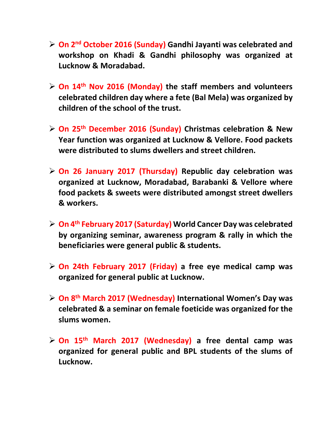- **On 2nd October 2016 (Sunday) Gandhi Jayanti was celebrated and workshop on Khadi & Gandhi philosophy was organized at Lucknow & Moradabad.**
- **On 14th Nov 2016 (Monday) the staff members and volunteers celebrated children day where a fete (Bal Mela) was organized by children of the school of the trust.**
- **On 25th December 2016 (Sunday) Christmas celebration & New Year function was organized at Lucknow & Vellore. Food packets were distributed to slums dwellers and street children.**
- **On 26 January 2017 (Thursday) Republic day celebration was organized at Lucknow, Moradabad, Barabanki & Vellore where food packets & sweets were distributed amongst street dwellers & workers.**
- **On 4th February 2017 (Saturday) World Cancer Day was celebrated by organizing seminar, awareness program & rally in which the beneficiaries were general public & students.**
- **On 24th February 2017 (Friday) a free eye medical camp was organized for general public at Lucknow.**
- **On 8th March 2017 (Wednesday) International Women's Day was celebrated & a seminar on female foeticide was organized for the slums women.**
- **On 15th March 2017 (Wednesday) a free dental camp was organized for general public and BPL students of the slums of Lucknow.**